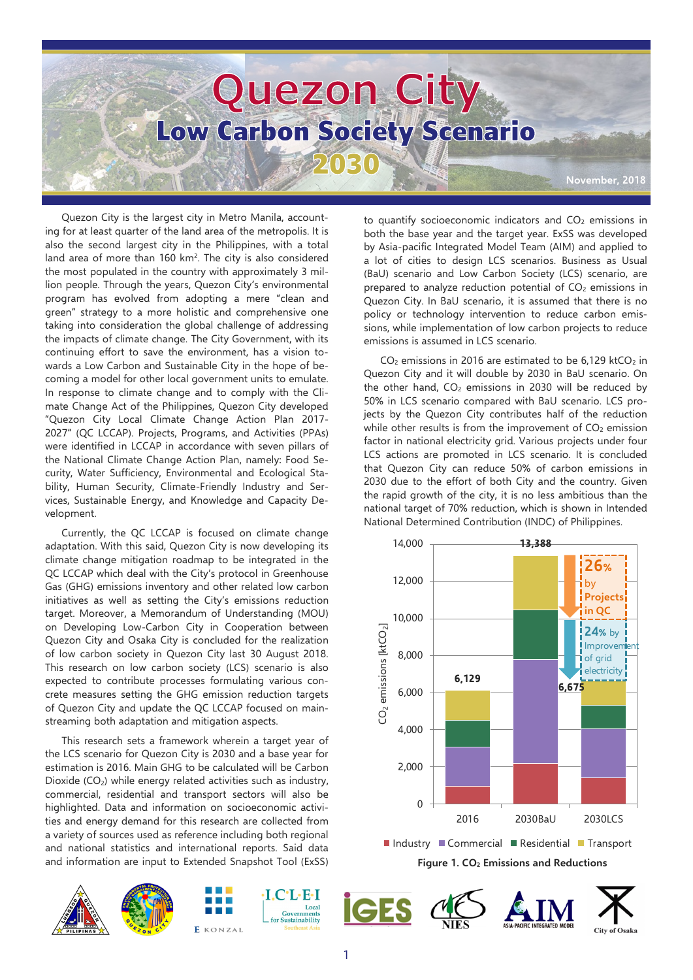

Quezon City is the largest city in Metro Manila, accounting for at least quarter of the land area of the metropolis. It is also the second largest city in the Philippines, with a total land area of more than 160 km<sup>2</sup>. The city is also considered the most populated in the country with approximately 3 million people. Through the years, Quezon City's environmental program has evolved from adopting a mere "clean and green" strategy to a more holistic and comprehensive one taking into consideration the global challenge of addressing the impacts of climate change. The City Government, with its continuing effort to save the environment, has a vision towards a Low Carbon and Sustainable City in the hope of becoming a model for other local government units to emulate. In response to climate change and to comply with the Climate Change Act of the Philippines, Quezon City developed "Quezon City Local Climate Change Action Plan 2017- 2027" (QC LCCAP). Projects, Programs, and Activities (PPAs) were identified in LCCAP in accordance with seven pillars of the National Climate Change Action Plan, namely: Food Security, Water Sufficiency, Environmental and Ecological Stability, Human Security, Climate-Friendly Industry and Services, Sustainable Energy, and Knowledge and Capacity Development.

Currently, the QC LCCAP is focused on climate change adaptation. With this said, Quezon City is now developing its climate change mitigation roadmap to be integrated in the QC LCCAP which deal with the City's protocol in Greenhouse Gas (GHG) emissions inventory and other related low carbon initiatives as well as setting the City's emissions reduction target. Moreover, a Memorandum of Understanding (MOU) on Developing Low-Carbon City in Cooperation between Quezon City and Osaka City is concluded for the realization of low carbon society in Quezon City last 30 August 2018. This research on low carbon society (LCS) scenario is also expected to contribute processes formulating various concrete measures setting the GHG emission reduction targets of Quezon City and update the QC LCCAP focused on mainstreaming both adaptation and mitigation aspects.

This research sets a framework wherein a target year of the LCS scenario for Quezon City is 2030 and a base year for estimation is 2016. Main GHG to be calculated will be Carbon Dioxide (CO2) while energy related activities such as industry, commercial, residential and transport sectors will also be highlighted. Data and information on socioeconomic activities and energy demand for this research are collected from a variety of sources used as reference including both regional and national statistics and international reports. Said data and information are input to Extended Snapshot Tool (ExSS)







to quantify socioeconomic indicators and  $CO<sub>2</sub>$  emissions in both the base year and the target year. ExSS was developed by Asia-pacific Integrated Model Team (AIM) and applied to a lot of cities to design LCS scenarios. Business as Usual (BaU) scenario and Low Carbon Society (LCS) scenario, are prepared to analyze reduction potential of  $CO<sub>2</sub>$  emissions in Quezon City. In BaU scenario, it is assumed that there is no policy or technology intervention to reduce carbon emissions, while implementation of low carbon projects to reduce emissions is assumed in LCS scenario.

 $CO<sub>2</sub>$  emissions in 2016 are estimated to be 6,129 ktCO<sub>2</sub> in Quezon City and it will double by 2030 in BaU scenario. On the other hand,  $CO<sub>2</sub>$  emissions in 2030 will be reduced by 50% in LCS scenario compared with BaU scenario. LCS projects by the Quezon City contributes half of the reduction while other results is from the improvement of  $CO<sub>2</sub>$  emission factor in national electricity grid. Various projects under four LCS actions are promoted in LCS scenario. It is concluded that Quezon City can reduce 50% of carbon emissions in 2030 due to the effort of both City and the country. Given the rapid growth of the city, it is no less ambitious than the national target of 70% reduction, which is shown in Intended National Determined Contribution (INDC) of Philippines.

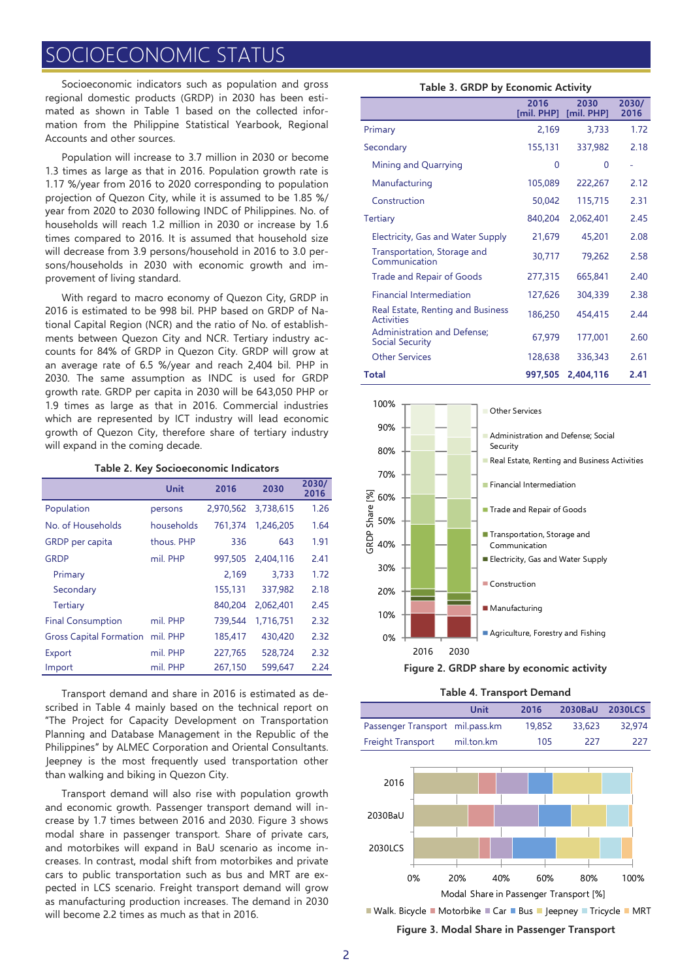# **CIOECONOMIC STATUS**

Socioeconomic indicators such as population and gross regional domestic products (GRDP) in 2030 has been estimated as shown in Table 1 based on the collected information from the Philippine Statistical Yearbook, Regional Accounts and other sources.

Population will increase to 3.7 million in 2030 or become 1.3 times as large as that in 2016. Population growth rate is 1.17 %/year from 2016 to 2020 corresponding to population projection of Quezon City, while it is assumed to be 1.85 %/ year from 2020 to 2030 following INDC of Philippines. No. of households will reach 1.2 million in 2030 or increase by 1.6 times compared to 2016. It is assumed that household size will decrease from 3.9 persons/household in 2016 to 3.0 persons/households in 2030 with economic growth and improvement of living standard.

With regard to macro economy of Quezon City, GRDP in 2016 is estimated to be 998 bil. PHP based on GRDP of National Capital Region (NCR) and the ratio of No. of establishments between Quezon City and NCR. Tertiary industry accounts for 84% of GRDP in Quezon City. GRDP will grow at an average rate of 6.5 %/year and reach 2,404 bil. PHP in 2030. The same assumption as INDC is used for GRDP growth rate. GRDP per capita in 2030 will be 643,050 PHP or 1.9 times as large as that in 2016. Commercial industries which are represented by ICT industry will lead economic growth of Quezon City, therefore share of tertiary industry will expand in the coming decade.

#### **Table 2. Key Socioeconomic Indicators**

|                                | Unit       | 2016      | 2030      | 2030/<br>2016 |
|--------------------------------|------------|-----------|-----------|---------------|
| Population                     | persons    | 2,970,562 | 3,738,615 | 1.26          |
| No. of Households              | households | 761.374   | 1.246.205 | 1.64          |
| GRDP per capita                | thous. PHP | 336       | 643       | 1.91          |
| <b>GRDP</b>                    | mil. PHP   | 997.505   | 2.404.116 | 2.41          |
| Primary                        |            | 2,169     | 3.733     | 1.72          |
| Secondary                      |            | 155,131   | 337,982   | 2.18          |
| Tertiary                       |            | 840.204   | 2.062.401 | 2.45          |
| <b>Final Consumption</b>       | mil. PHP   | 739,544   | 1,716,751 | 2.32          |
| <b>Gross Capital Formation</b> | mil. PHP   | 185,417   | 430,420   | 2.32          |
| Export                         | mil. PHP   | 227.765   | 528.724   | 2.32          |
| Import                         | mil. PHP   | 267.150   | 599.647   | 2.24          |

Transport demand and share in 2016 is estimated as described in Table 4 mainly based on the technical report on "The Project for Capacity Development on Transportation Planning and Database Management in the Republic of the Philippines" by ALMEC Corporation and Oriental Consultants. Jeepney is the most frequently used transportation other than walking and biking in Quezon City.

Transport demand will also rise with population growth and economic growth. Passenger transport demand will increase by 1.7 times between 2016 and 2030. Figure 3 shows modal share in passenger transport. Share of private cars, and motorbikes will expand in BaU scenario as income increases. In contrast, modal shift from motorbikes and private cars to public transportation such as bus and MRT are expected in LCS scenario. Freight transport demand will grow as manufacturing production increases. The demand in 2030 will become 2.2 times as much as that in 2016.

#### **Table 3. GRDP by Economic Activity**

|                                                        | 2016<br>[mil. PHP] | 2030<br>[mil. PHP] | 2030/<br>2016 |
|--------------------------------------------------------|--------------------|--------------------|---------------|
| Primary                                                | 2,169              | 3,733              | 1.72          |
| Secondary                                              | 155,131            | 337,982            | 2.18          |
| Mining and Quarrying                                   | 0                  | 0                  |               |
| Manufacturing                                          | 105,089            | 222,267            | 2.12          |
| Construction                                           | 50,042             | 115,715            | 2.31          |
| <b>Tertiary</b>                                        | 840,204            | 2,062,401          | 2.45          |
| Electricity, Gas and Water Supply                      | 21,679             | 45,201             | 2.08          |
| Transportation, Storage and<br>Communication           | 30,717             | 79,262             | 2.58          |
| Trade and Repair of Goods                              | 277,315            | 665,841            | 2.40          |
| <b>Financial Intermediation</b>                        | 127,626            | 304,339            | 2.38          |
| Real Estate, Renting and Business<br><b>Activities</b> | 186,250            | 454,415            | 2.44          |
| Administration and Defense;<br>Social Security         | 67,979             | 177,001            | 2.60          |
| <b>Other Services</b>                                  | 128,638            | 336,343            | 2.61          |
| Total                                                  | 997,505            | 2,404,116          | 2.41          |





| Table 4. Transport Demand |  |  |  |  |  |
|---------------------------|--|--|--|--|--|
|---------------------------|--|--|--|--|--|

|                                 | Unit       | 2016   | 2030BaU | <b>2030LCS</b> |
|---------------------------------|------------|--------|---------|----------------|
| Passenger Transport mil.pass.km |            | 19.852 | 33.623  | 32.974         |
| Freight Transport               | mil.ton.km | 105    | -227    | 227            |
|                                 |            |        |         |                |

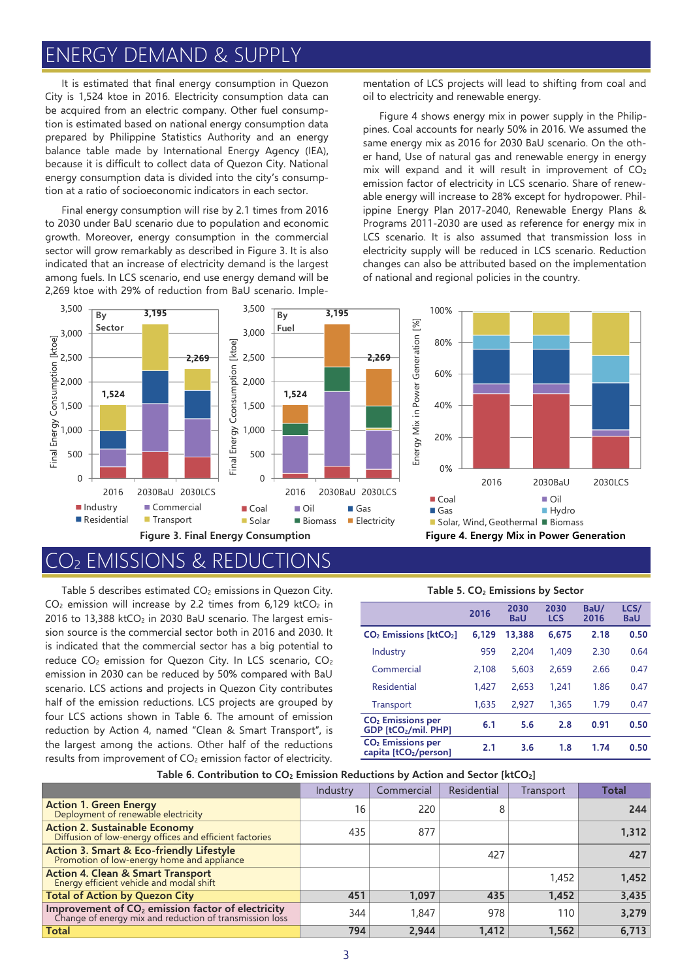# ENERGY DEMAND & SUPPLY

It is estimated that final energy consumption in Quezon City is 1,524 ktoe in 2016. Electricity consumption data can be acquired from an electric company. Other fuel consumption is estimated based on national energy consumption data prepared by Philippine Statistics Authority and an energy balance table made by International Energy Agency (IEA), because it is difficult to collect data of Quezon City. National energy consumption data is divided into the city's consumption at a ratio of socioeconomic indicators in each sector.

Final energy consumption will rise by 2.1 times from 2016 to 2030 under BaU scenario due to population and economic growth. Moreover, energy consumption in the commercial sector will grow remarkably as described in Figure 3. It is also indicated that an increase of electricity demand is the largest among fuels. In LCS scenario, end use energy demand will be 2,269 ktoe with 29% of reduction from BaU scenario. Implementation of LCS projects will lead to shifting from coal and oil to electricity and renewable energy.

Figure 4 shows energy mix in power supply in the Philippines. Coal accounts for nearly 50% in 2016. We assumed the same energy mix as 2016 for 2030 BaU scenario. On the other hand, Use of natural gas and renewable energy in energy mix will expand and it will result in improvement of  $CO<sub>2</sub>$ emission factor of electricity in LCS scenario. Share of renewable energy will increase to 28% except for hydropower. Philippine Energy Plan 2017-2040, Renewable Energy Plans & Programs 2011-2030 are used as reference for energy mix in LCS scenario. It is also assumed that transmission loss in electricity supply will be reduced in LCS scenario. Reduction changes can also be attributed based on the implementation of national and regional policies in the country.



## EMISSIONS & REDU

Table 5 describes estimated CO<sub>2</sub> emissions in Quezon City.  $CO<sub>2</sub>$  emission will increase by 2.2 times from 6,129 ktCO<sub>2</sub> in 2016 to 13,388 ktCO<sub>2</sub> in 2030 BaU scenario. The largest emission source is the commercial sector both in 2016 and 2030. It is indicated that the commercial sector has a big potential to reduce CO<sub>2</sub> emission for Quezon City. In LCS scenario, CO<sub>2</sub> emission in 2030 can be reduced by 50% compared with BaU scenario. LCS actions and projects in Quezon City contributes half of the emission reductions. LCS projects are grouped by four LCS actions shown in Table 6. The amount of emission reduction by Action 4, named "Clean & Smart Transport", is the largest among the actions. Other half of the reductions results from improvement of CO<sub>2</sub> emission factor of electricity.

|                                                   | 2016  | 2030<br><b>BaU</b> | 2030<br><b>LCS</b> | BaU/<br>2016 | LCS/<br><b>BaU</b> |
|---------------------------------------------------|-------|--------------------|--------------------|--------------|--------------------|
| $CO2$ Emissions [ktCO <sub>2</sub> ] 6,129 13,388 |       |                    | 6.675              | 2.18         | 0.50               |
| Industry                                          | 959   | 2.204              | 1.409              | 2.30         | 0.64               |
| Commercial                                        | 2.108 | 5.603              | 2659               | 2.66         | 0.17               |

**Table 5. CO<sup>2</sup> Emissions by Sector**

| CO <sub>2</sub> Emissions per<br>capita [tCO2/person] | 2.1   | 3.6   | 1.8   | 1.74 | 0.50 |
|-------------------------------------------------------|-------|-------|-------|------|------|
| CO <sub>2</sub> Emissions per<br>GDP [tCO2/mil. PHP]  | 6.1   | 5.6   | 2.8   | 0.91 | 0.50 |
| Transport                                             | 1.635 | 2.927 | 1.365 | 1.79 | 0.47 |
| Residential                                           | 1.427 | 2.653 | 1.241 | 1.86 | 0.47 |
| Commercial                                            | 2.108 | 5.603 | 2.659 | 2.66 | 0.47 |

#### **Table 6. Contribution to CO<sup>2</sup> Emission Reductions by Action and Sector [ktCO2]**

|                                                                                                                                | Industry | Commercial | Residential | Transport | <b>Total</b> |
|--------------------------------------------------------------------------------------------------------------------------------|----------|------------|-------------|-----------|--------------|
| <b>Action 1. Green Energy</b><br>Deployment of renewable electricity                                                           | 16       | 220        | 8           |           | 244          |
| Action 2. Sustainable Economy<br>Diffusion of low-energy offices and efficient factories                                       | 435      | 877        |             |           | 1,312        |
| Action 3. Smart & Eco-friendly Lifestyle<br>Promotion of low-energy home and appliance                                         |          |            | 427         |           | 427          |
| <b>Action 4. Clean &amp; Smart Transport</b><br>Energy efficient vehicle and modal shift                                       |          |            |             | 1,452     | 1,452        |
| <b>Total of Action by Quezon City</b>                                                                                          | 451      | 1.097      | 435         | 1.452     | 3,435        |
| <b>Improvement of CO<sub>2</sub> emission factor of electricity</b><br>Change of energy mix and reduction of transmission loss | 344      | 1.847      | 978         | 110       | 3,279        |
| <b>Total</b>                                                                                                                   | 794      | 2,944      | 1,412       | 1,562     | 6,713        |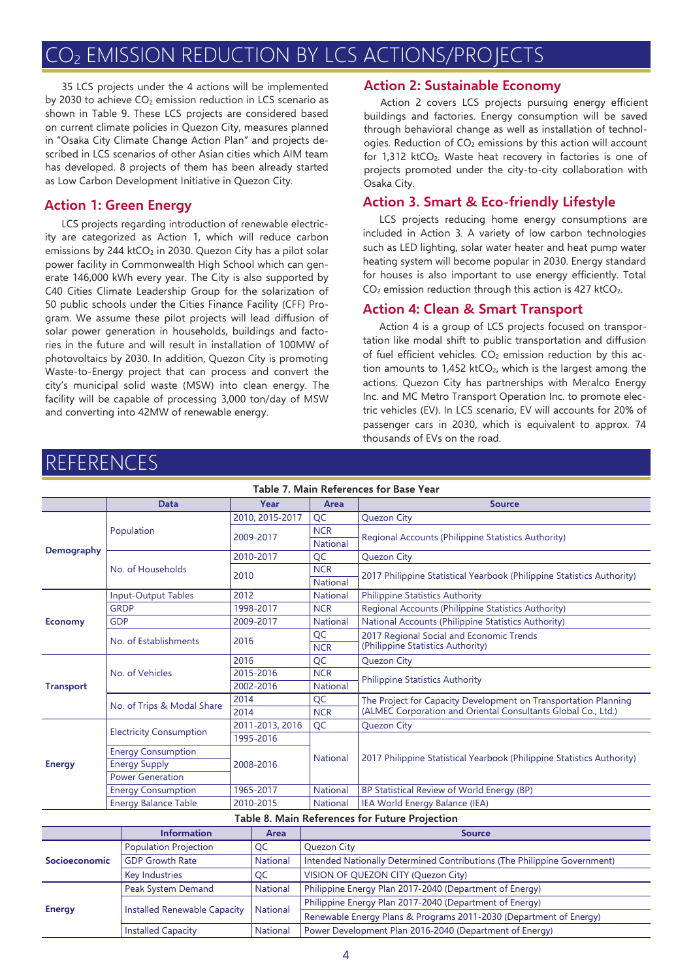# CO<sup>2</sup> EMISSION REDUCTION BY LCS ACTIONS/PROJECTS

35 LCS projects under the 4 actions will be implemented by 2030 to achieve CO<sub>2</sub> emission reduction in LCS scenario as shown in Table 9. These LCS projects are considered based on current climate policies in Quezon City, measures planned in "Osaka City Climate Change Action Plan" and projects described in LCS scenarios of other Asian cities which AIM team has developed. 8 projects of them has been already started as Low Carbon Development Initiative in Quezon City.

LCS projects regarding introduction of renewable electricity are categorized as Action 1, which will reduce carbon emissions by 244 ktCO<sub>2</sub> in 2030. Quezon City has a pilot solar power facility in Commonwealth High School which can generate 146,000 kWh every year. The City is also supported by C40 Cities Climate Leadership Group for the solarization of 50 public schools under the Cities Finance Facility (CFF) Program. We assume these pilot projects will lead diffusion of solar power generation in households, buildings and factories in the future and will result in installation of 100MW of photovoltaics by 2030. In addition, Quezon City is promoting Waste-to-Energy project that can process and convert the city's municipal solid waste (MSW) into clean energy. The facility will be capable of processing 3,000 ton/day of MSW and converting into 42MW of renewable energy.

#### **Action 2: Sustainable Economy**

Action 2 covers LCS projects pursuing energy efficient buildings and factories. Energy consumption will be saved through behavioral change as well as installation of technologies. Reduction of CO<sub>2</sub> emissions by this action will account for 1,312 ktCO<sub>2</sub>. Waste heat recovery in factories is one of projects promoted under the city-to-city collaboration with Osaka City.

### **Action 1: Green Energy Action 3. Smart & Eco-friendly Lifestyle**

LCS projects reducing home energy consumptions are included in Action 3. A variety of low carbon technologies such as LED lighting, solar water heater and heat pump water heating system will become popular in 2030. Energy standard for houses is also important to use energy efficiently. Total  $CO<sub>2</sub>$  emission reduction through this action is 427 ktCO<sub>2</sub>.

#### **Action 4: Clean & Smart Transport**

Action 4 is a group of LCS projects focused on transportation like modal shift to public transportation and diffusion of fuel efficient vehicles.  $CO<sub>2</sub>$  emission reduction by this action amounts to  $1,452$  ktCO<sub>2</sub>, which is the largest among the actions. Quezon City has partnerships with Meralco Energy Inc. and MC Metro Transport Operation Inc. to promote electric vehicles (EV). In LCS scenario, EV will accounts for 20% of passenger cars in 2030, which is equivalent to approx. 74 thousands of EVs on the road.

| Table 7. Main References for Base Year |                                |                                     |                 |                                                                          |                                                                        |  |  |
|----------------------------------------|--------------------------------|-------------------------------------|-----------------|--------------------------------------------------------------------------|------------------------------------------------------------------------|--|--|
|                                        | <b>Data</b>                    |                                     | Year            | Area                                                                     | <b>Source</b>                                                          |  |  |
|                                        |                                |                                     | 2010, 2015-2017 | QC                                                                       | <b>Quezon City</b>                                                     |  |  |
|                                        | Population                     |                                     | 2009-2017       | <b>NCR</b><br><b>National</b>                                            | Regional Accounts (Philippine Statistics Authority)                    |  |  |
| <b>Demography</b>                      |                                |                                     | 2010-2017       | QC                                                                       | Quezon City                                                            |  |  |
|                                        | No. of Households              |                                     |                 | <b>NCR</b>                                                               |                                                                        |  |  |
|                                        |                                | 2010                                |                 | <b>National</b>                                                          | 2017 Philippine Statistical Yearbook (Philippine Statistics Authority) |  |  |
|                                        | <b>Input-Output Tables</b>     | 2012                                |                 | <b>National</b>                                                          | <b>Philippine Statistics Authority</b>                                 |  |  |
|                                        | <b>GRDP</b>                    |                                     | 1998-2017       | <b>NCR</b>                                                               | Regional Accounts (Philippine Statistics Authority)                    |  |  |
| <b>Economy</b>                         | <b>GDP</b>                     |                                     | 2009-2017       | <b>National</b>                                                          | National Accounts (Philippine Statistics Authority)                    |  |  |
|                                        | No. of Establishments          | 2016                                |                 | QC                                                                       | 2017 Regional Social and Economic Trends                               |  |  |
|                                        |                                |                                     |                 | <b>NCR</b>                                                               | (Philippine Statistics Authority)                                      |  |  |
|                                        |                                | 2016                                |                 | QC                                                                       | Quezon City                                                            |  |  |
|                                        | No. of Vehicles                | 2015-2016                           |                 | <b>NCR</b>                                                               | <b>Philippine Statistics Authority</b>                                 |  |  |
| <b>Transport</b>                       |                                |                                     | 2002-2016       | <b>National</b>                                                          |                                                                        |  |  |
|                                        |                                |                                     | 2014            | QC                                                                       | The Project for Capacity Development on Transportation Planning        |  |  |
|                                        | No. of Trips & Modal Share     | 2014                                |                 | <b>NCR</b>                                                               | (ALMEC Corporation and Oriental Consultants Global Co., Ltd.)          |  |  |
|                                        | <b>Electricity Consumption</b> |                                     | 2011-2013, 2016 | QC                                                                       | <b>Quezon City</b>                                                     |  |  |
|                                        |                                | 1995-2016                           |                 |                                                                          |                                                                        |  |  |
|                                        | <b>Energy Consumption</b>      |                                     |                 | <b>National</b>                                                          | 2017 Philippine Statistical Yearbook (Philippine Statistics Authority) |  |  |
| <b>Energy</b>                          | <b>Energy Supply</b>           |                                     | 2008-2016       |                                                                          |                                                                        |  |  |
|                                        | <b>Power Generation</b>        |                                     |                 |                                                                          |                                                                        |  |  |
|                                        | <b>Energy Consumption</b>      |                                     | 1965-2017       | <b>National</b>                                                          | BP Statistical Review of World Energy (BP)                             |  |  |
|                                        | <b>Energy Balance Table</b>    |                                     | 2010-2015       | IEA World Energy Balance (IEA)<br><b>National</b>                        |                                                                        |  |  |
|                                        |                                |                                     |                 |                                                                          | Table 8. Main References for Future Projection                         |  |  |
|                                        | <b>Information</b>             |                                     | Area            |                                                                          | <b>Source</b>                                                          |  |  |
|                                        | Population Projection          |                                     | QC              | <b>Quezon City</b>                                                       |                                                                        |  |  |
| Socioeconomic                          | <b>GDP Growth Rate</b>         |                                     |                 | Intended Nationally Determined Contributions (The Philippine Government) |                                                                        |  |  |
|                                        | <b>Key Industries</b>          |                                     |                 | VISION OF QUEZON CITY (Quezon City)                                      |                                                                        |  |  |
|                                        | Peak System Demand             |                                     | <b>National</b> |                                                                          | Philippine Energy Plan 2017-2040 (Department of Energy)                |  |  |
|                                        |                                |                                     | <b>National</b> | Philippine Energy Plan 2017-2040 (Department of Energy)                  |                                                                        |  |  |
| <b>Energy</b>                          |                                | <b>Installed Renewable Capacity</b> |                 | Renewable Energy Plans & Programs 2011-2030 (Department of Energy)       |                                                                        |  |  |

# REFERENCES

Installed Capacity National Power Development Plan 2016-2040 (Department of Energy)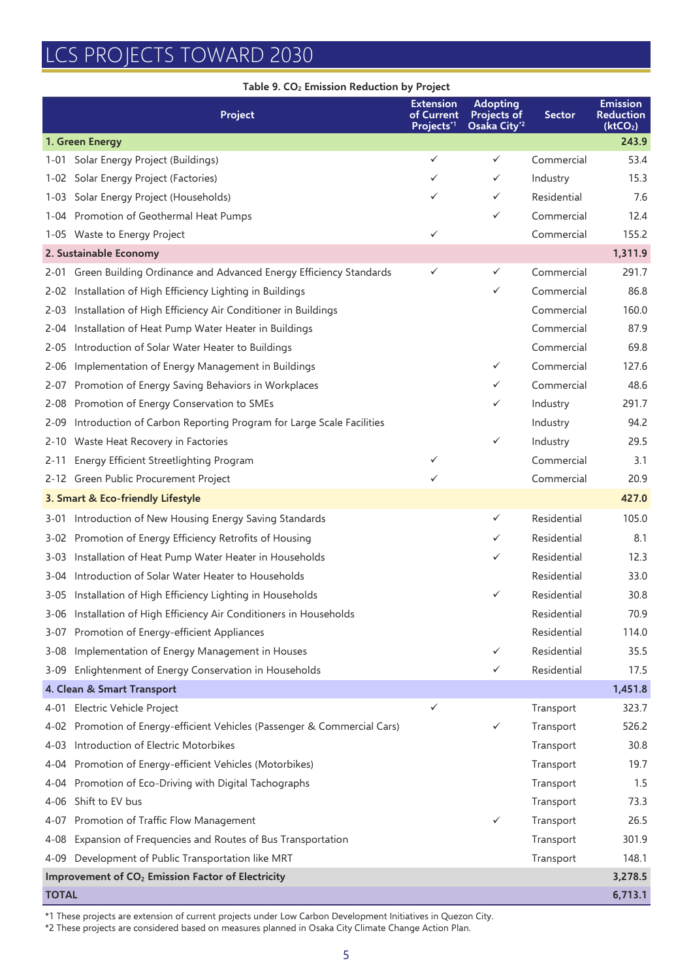# LCS PROJECTS TOWARD 2030

|              | Table 9. CO <sub>2</sub> Emission Reduction by Project                    |                                                          |                                                            |               |                                                             |
|--------------|---------------------------------------------------------------------------|----------------------------------------------------------|------------------------------------------------------------|---------------|-------------------------------------------------------------|
|              | Project                                                                   | <b>Extension</b><br>of Current<br>Projects <sup>*1</sup> | <b>Adopting</b><br>Projects of<br>Osaka City <sup>*2</sup> | <b>Sector</b> | <b>Emission</b><br><b>Reduction</b><br>(ktCO <sub>2</sub> ) |
|              | 1. Green Energy                                                           |                                                          |                                                            |               | 243.9                                                       |
|              | 1-01 Solar Energy Project (Buildings)                                     | $\checkmark$                                             | ✓                                                          | Commercial    | 53.4                                                        |
|              | 1-02 Solar Energy Project (Factories)                                     | $\checkmark$                                             | ✓                                                          | Industry      | 15.3                                                        |
|              | 1-03 Solar Energy Project (Households)                                    | $\checkmark$                                             | ✓                                                          | Residential   | 7.6                                                         |
|              | 1-04 Promotion of Geothermal Heat Pumps                                   |                                                          | ✓                                                          | Commercial    | 12.4                                                        |
|              | 1-05 Waste to Energy Project                                              | ✓                                                        |                                                            | Commercial    | 155.2                                                       |
|              | 2. Sustainable Economy                                                    |                                                          |                                                            |               | 1,311.9                                                     |
|              | 2-01 Green Building Ordinance and Advanced Energy Efficiency Standards    | ✓                                                        | ✓                                                          | Commercial    | 291.7                                                       |
|              | 2-02 Installation of High Efficiency Lighting in Buildings                |                                                          | ✓                                                          | Commercial    | 86.8                                                        |
|              | 2-03 Installation of High Efficiency Air Conditioner in Buildings         |                                                          |                                                            | Commercial    | 160.0                                                       |
|              | 2-04 Installation of Heat Pump Water Heater in Buildings                  |                                                          |                                                            | Commercial    | 87.9                                                        |
|              | 2-05 Introduction of Solar Water Heater to Buildings                      |                                                          |                                                            | Commercial    | 69.8                                                        |
| 2-06         | Implementation of Energy Management in Buildings                          |                                                          | ✓                                                          | Commercial    | 127.6                                                       |
| 2-07         | Promotion of Energy Saving Behaviors in Workplaces                        |                                                          | ✓                                                          | Commercial    | 48.6                                                        |
| 2-08         | Promotion of Energy Conservation to SMEs                                  |                                                          | ✓                                                          | Industry      | 291.7                                                       |
| 2-09         | Introduction of Carbon Reporting Program for Large Scale Facilities       |                                                          |                                                            | Industry      | 94.2                                                        |
|              | 2-10 Waste Heat Recovery in Factories                                     |                                                          | ✓                                                          | Industry      | 29.5                                                        |
| 2-11         | Energy Efficient Streetlighting Program                                   | $\checkmark$                                             |                                                            | Commercial    | 3.1                                                         |
|              | 2-12 Green Public Procurement Project                                     | $\checkmark$                                             |                                                            | Commercial    | 20.9                                                        |
|              | 3. Smart & Eco-friendly Lifestyle                                         |                                                          |                                                            |               | 427.0                                                       |
|              | 3-01 Introduction of New Housing Energy Saving Standards                  |                                                          | ✓                                                          | Residential   | 105.0                                                       |
|              | 3-02 Promotion of Energy Efficiency Retrofits of Housing                  |                                                          | ✓                                                          | Residential   | 8.1                                                         |
|              | 3-03 Installation of Heat Pump Water Heater in Households                 |                                                          | ✓                                                          | Residential   | 12.3                                                        |
|              | 3-04 Introduction of Solar Water Heater to Households                     |                                                          |                                                            | Residential   | 33.0                                                        |
|              | 3-05 Installation of High Efficiency Lighting in Households               |                                                          | ✓                                                          | Residential   | 30.8                                                        |
|              | 3-06 Installation of High Efficiency Air Conditioners in Households       |                                                          |                                                            | Residential   | 70.9                                                        |
|              | 3-07 Promotion of Energy-efficient Appliances                             |                                                          |                                                            | Residential   | 114.0                                                       |
|              | 3-08 Implementation of Energy Management in Houses                        |                                                          | ✓                                                          | Residential   | 35.5                                                        |
|              | 3-09 Enlightenment of Energy Conservation in Households                   |                                                          | ✓                                                          | Residential   | 17.5                                                        |
|              | 4. Clean & Smart Transport                                                |                                                          |                                                            |               | 1,451.8                                                     |
|              | 4-01 Electric Vehicle Project                                             | $\checkmark$                                             |                                                            | Transport     | 323.7                                                       |
|              | 4-02 Promotion of Energy-efficient Vehicles (Passenger & Commercial Cars) |                                                          | ✓                                                          | Transport     | 526.2                                                       |
|              | 4-03 Introduction of Electric Motorbikes                                  |                                                          |                                                            | Transport     | 30.8                                                        |
|              | 4-04 Promotion of Energy-efficient Vehicles (Motorbikes)                  |                                                          |                                                            | Transport     | 19.7                                                        |
| 4-04         | Promotion of Eco-Driving with Digital Tachographs                         |                                                          |                                                            | Transport     | 1.5                                                         |
|              | 4-06 Shift to EV bus                                                      |                                                          |                                                            | Transport     | 73.3                                                        |
|              | 4-07 Promotion of Traffic Flow Management                                 |                                                          | ✓                                                          | Transport     | 26.5                                                        |
|              | 4-08 Expansion of Frequencies and Routes of Bus Transportation            |                                                          |                                                            | Transport     | 301.9                                                       |
|              | 4-09 Development of Public Transportation like MRT                        |                                                          |                                                            | Transport     | 148.1                                                       |
|              | Improvement of CO <sub>2</sub> Emission Factor of Electricity             |                                                          |                                                            |               | 3,278.5                                                     |
| <b>TOTAL</b> |                                                                           |                                                          |                                                            |               | 6,713.1                                                     |
|              |                                                                           |                                                          |                                                            |               |                                                             |

\*1 These projects are extension of current projects under Low Carbon Development Initiatives in Quezon City.

\*2 These projects are considered based on measures planned in Osaka City Climate Change Action Plan.